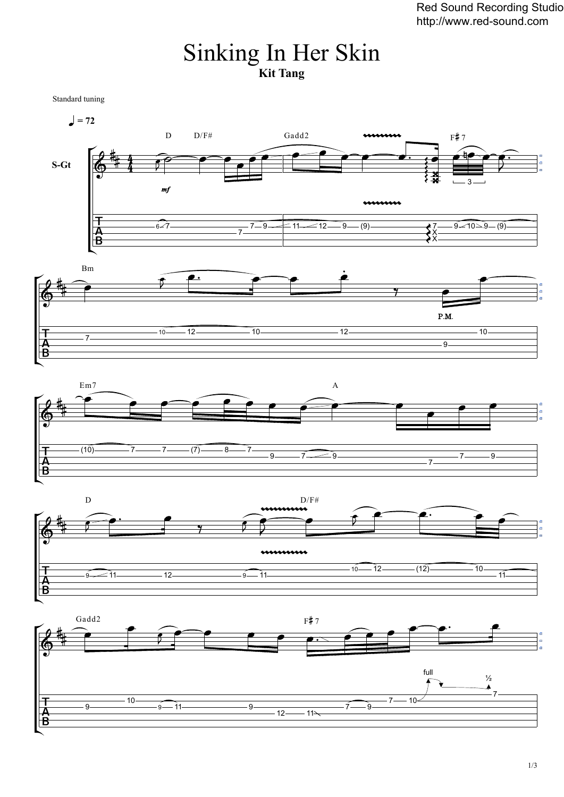## Sinking In Her Skin **Kit Tang**

Standard tuning









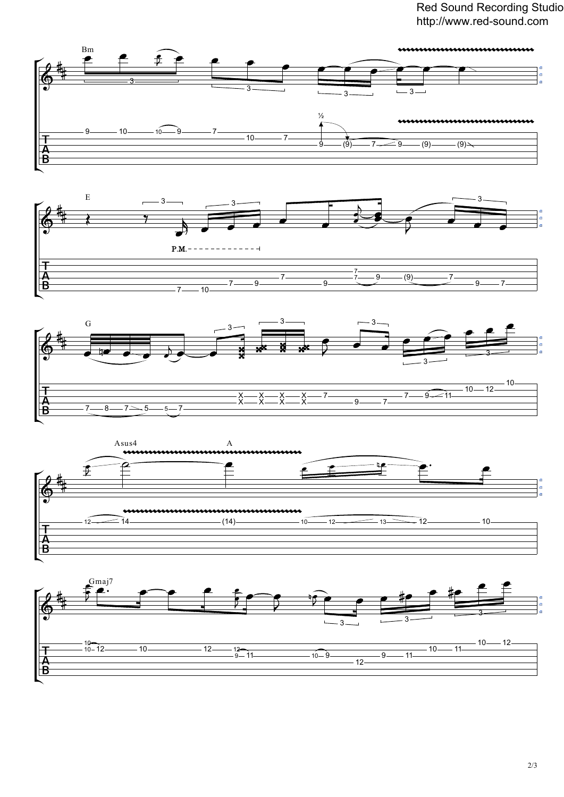Red Sound Recording Studio http://www.red-sound.com